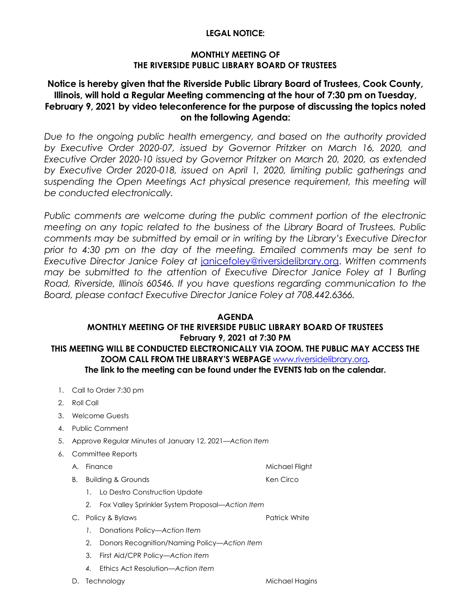### **LEGAL NOTICE:**

### **MONTHLY MEETING OF THE RIVERSIDE PUBLIC LIBRARY BOARD OF TRUSTEES**

# **Notice is hereby given that the Riverside Public Library Board of Trustees, Cook County, Illinois, will hold a Regular Meeting commencing at the hour of 7:30 pm on Tuesday, February 9, 2021 by video teleconference for the purpose of discussing the topics noted on the following Agenda:**

*Due to the ongoing public health emergency, and based on the authority provided by Executive Order 2020-07, issued by Governor Pritzker on March 16, 2020, and Executive Order 2020-10 issued by Governor Pritzker on March 20, 2020, as extended by Executive Order 2020-018, issued on April 1, 2020, limiting public gatherings and*  suspending the Open Meetings Act physical presence requirement, this meeting will *be conducted electronically.* 

Public comments are welcome during the public comment portion of the electronic *meeting on any topic related to the business of the Library Board of Trustees. Public comments may be submitted by email or in writing by the Library's Executive Director prior to 4:30 pm on the day of the meeting. Emailed comments may be sent to Executive Director Janice Foley at* [janicefoley@riversidelibrary.org.](mailto:janicefoley@riversidelibrary.org) *Written comments may be submitted to the attention of Executive Director Janice Foley at 1 Burling Road, Riverside, Illinois 60546. If you have questions regarding communication to the Board, please contact Executive Director Janice Foley at 708.442.6366.* 

### **AGENDA**

# **MONTHLY MEETING OF THE RIVERSIDE PUBLIC LIBRARY BOARD OF TRUSTEES February 9, 2021 at 7:30 PM THIS MEETING WILL BE CONDUCTED ELECTRONICALLY VIA ZOOM. THE PUBLIC MAY ACCESS THE ZOOM CALL FROM THE LIBRARY'S WEBPAGE** [www.riversidelibrary.org](http://www.riversidelibrary.org/)**. The link to the meeting can be found under the EVENTS tab on the calendar.**

- 1. Call to Order 7:30 pm
- 2. Roll Call
- 3. Welcome Guests
- 4. Public Comment
- 5. Approve Regular Minutes of January 12, 2021*—Action Item*
- 6. Committee Reports
	- A. Finance Michael Flight
	- B. Building & Grounds Ken Circo
		- 1. Lo Destro Construction Update
		- *2.* Fox Valley Sprinkler System Proposal*—Action Item*
	- C. Policy & Bylaws **Patrick White** Patrick White
		- *1.* Donations Policy—*Action Item*
		- 2. Donors Recognition/Naming Policy*—Action Item*
		- 3. First Aid/CPR Policy*—Action Item*
		- *4.* Ethics Act Resolution—*Action Item*

D. Technology and the matter of the Michael Hagins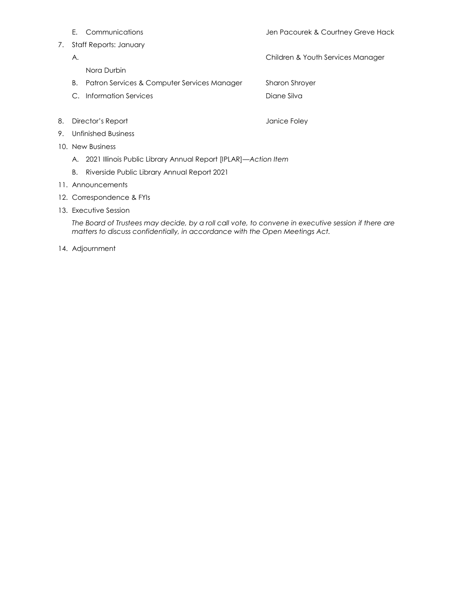- 
- 7. Staff Reports: January
	-
- Nora Durbin
- B. Patron Services & Computer Services ManagerSharon Shroyer
- C. Information Services **Diane Silva Diane Silva**
- 8. Director's Report **Containers** and a set of the United States of American States of American States of American States of American States of American States of American States of American States of American States of Am
- 9. Unfinished Business
- 10. New Business
	- A. 2021 Illinois Public Library Annual Report [IPLAR]—*Action Item*
	- B. Riverside Public Library Annual Report 2021
- 11. Announcements
- 12. Correspondence & FYIs
- 13. Executive Session

*The Board of Trustees may decide, by a roll call vote, to convene in executive session if there are matters to discuss confidentially, in accordance with the Open Meetings Act.*

14. Adjournment

- E. Communications Jen Pacourek & Courtney Greve Hack
- A. A. Children & Youth Services Manager
	-
	-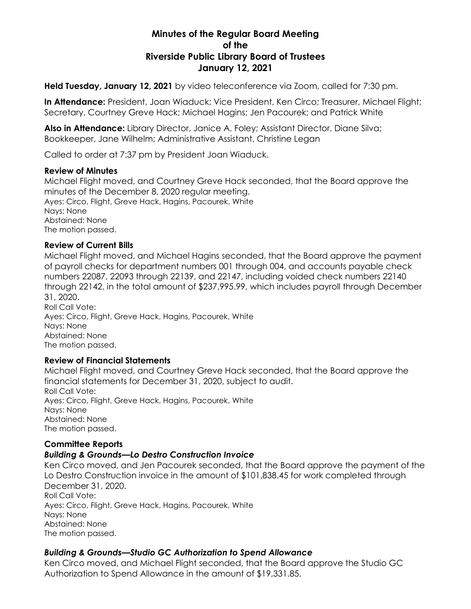# **Minutes of the Regular Board Meeting of the Riverside Public Library Board of Trustees January 12, 2021**

**Held Tuesday, January 12, 2021** by video teleconference via Zoom, called for 7:30 pm.

**In Attendance:** President, Joan Wiaduck; Vice President, Ken Circo; Treasurer, Michael Flight; Secretary, Courtney Greve Hack; Michael Hagins; Jen Pacourek; and Patrick White

**Also in Attendance:** Library Director, Janice A. Foley; Assistant Director, Diane Silva; Bookkeeper, Jane Wilhelm; Administrative Assistant, Christine Legan

Called to order at 7:37 pm by President Joan Wiaduck.

#### **Review of Minutes**

Michael Flight moved, and Courtney Greve Hack seconded, that the Board approve the minutes of the December 8, 2020 regular meeting. Ayes: Circo, Flight, Greve Hack, Hagins, Pacourek, White Nays: None Abstained: None The motion passed.

### **Review of Current Bills**

Michael Flight moved, and Michael Hagins seconded, that the Board approve the payment of payroll checks for department numbers 001 through 004, and accounts payable check numbers 22087, 22093 through 22139, and 22147, including voided check numbers 22140 through 22142, in the total amount of \$237,995.99, which includes payroll through December 31, 2020. Roll Call Vote:

Ayes: Circo, Flight, Greve Hack, Hagins, Pacourek, White Nays: None Abstained: None The motion passed.

# **Review of Financial Statements**

Michael Flight moved, and Courtney Greve Hack seconded, that the Board approve the financial statements for December 31, 2020, subject to audit. Roll Call Vote: Ayes: Circo, Flight, Greve Hack, Hagins, Pacourek, White Nays: None Abstained: None The motion passed.

# **Committee Reports**

# *Building & Grounds—Lo Destro Construction Invoice*

Ken Circo moved, and Jen Pacourek seconded, that the Board approve the payment of the Lo Destro Construction invoice in the amount of \$101,838.45 for work completed through December 31, 2020. Roll Call Vote: Ayes: Circo, Flight, Greve Hack, Hagins, Pacourek, White Nays: None

Abstained: None The motion passed.

# *Building & Grounds—Studio GC Authorization to Spend Allowance*

Ken Circo moved, and Michael Flight seconded, that the Board approve the Studio GC Authorization to Spend Allowance in the amount of \$19,331.85.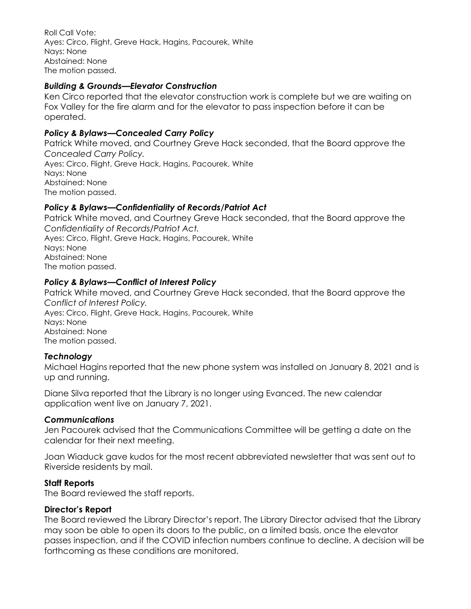Roll Call Vote: Ayes: Circo, Flight, Greve Hack, Hagins, Pacourek, White Nays: None Abstained: None The motion passed.

### *Building & Grounds—Elevator Construction*

Ken Circo reported that the elevator construction work is complete but we are waiting on Fox Valley for the fire alarm and for the elevator to pass inspection before it can be operated.

### *Policy & Bylaws—Concealed Carry Policy*

Patrick White moved, and Courtney Greve Hack seconded, that the Board approve the *Concealed Carry Policy.* Ayes: Circo, Flight, Greve Hack, Hagins, Pacourek, White Nays: None Abstained: None The motion passed.

### *Policy & Bylaws—Confidentiality of Records/Patriot Act*

Patrick White moved, and Courtney Greve Hack seconded, that the Board approve the *Confidentiality of Records/Patriot Act.* Ayes: Circo, Flight, Greve Hack, Hagins, Pacourek, White Nays: None Abstained: None The motion passed.

### *Policy & Bylaws—Conflict of Interest Policy*

Patrick White moved, and Courtney Greve Hack seconded, that the Board approve the *Conflict of Interest Policy.* Ayes: Circo, Flight, Greve Hack, Hagins, Pacourek, White Nays: None Abstained: None The motion passed.

#### *Technology*

Michael Hagins reported that the new phone system was installed on January 8, 2021 and is up and running.

Diane Silva reported that the Library is no longer using Evanced. The new calendar application went live on January 7, 2021.

#### *Communications*

Jen Pacourek advised that the Communications Committee will be getting a date on the calendar for their next meeting.

Joan Wiaduck gave kudos for the most recent abbreviated newsletter that was sent out to Riverside residents by mail.

#### **Staff Reports**

The Board reviewed the staff reports.

#### **Director's Report**

The Board reviewed the Library Director's report. The Library Director advised that the Library may soon be able to open its doors to the public, on a limited basis, once the elevator passes inspection, and if the COVID infection numbers continue to decline. A decision will be forthcoming as these conditions are monitored.